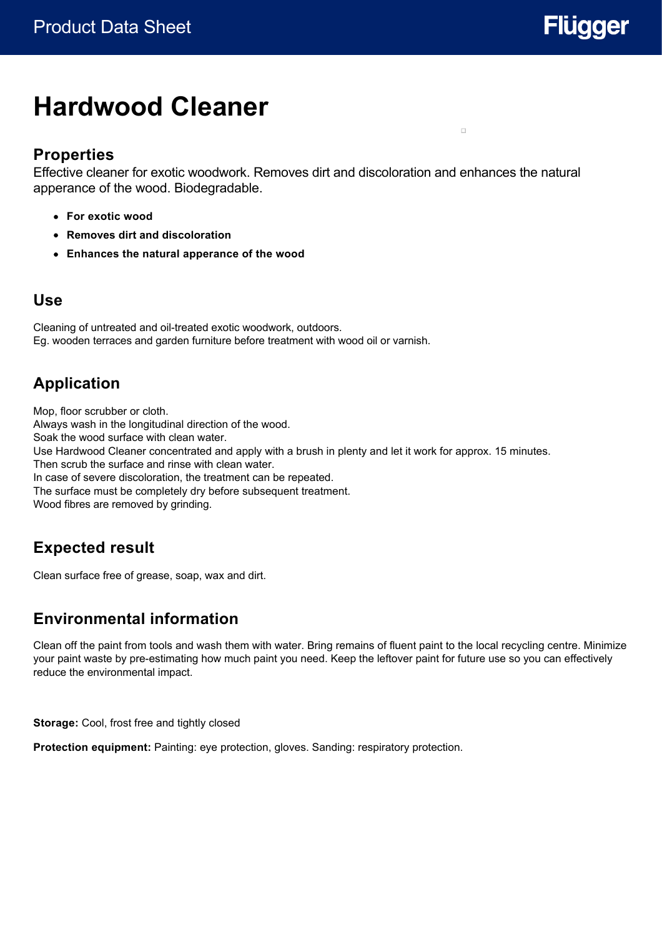

 $\Box$ 

# **Hardwood Cleaner**

#### **Properties**

Effective cleaner for exotic woodwork. Removes dirt and discoloration and enhances the natural apperance of the wood. Biodegradable.

- **For exotic wood**
- **Removes dirt and discoloration**
- **Enhances the natural apperance of the wood**

#### **Use**

Cleaning of untreated and oil-treated exotic woodwork, outdoors. Eg. wooden terraces and garden furniture before treatment with wood oil or varnish.

## **Application**

Mop, floor scrubber or cloth. Always wash in the longitudinal direction of the wood. Soak the wood surface with clean water. Use Hardwood Cleaner concentrated and apply with a brush in plenty and let it work for approx. 15 minutes. Then scrub the surface and rinse with clean water. In case of severe discoloration, the treatment can be repeated. The surface must be completely dry before subsequent treatment. Wood fibres are removed by grinding.

## **Expected result**

Clean surface free of grease, soap, wax and dirt.

### **Environmental information**

Clean off the paint from tools and wash them with water. Bring remains of fluent paint to the local recycling centre. Minimize your paint waste by pre-estimating how much paint you need. Keep the leftover paint for future use so you can effectively reduce the environmental impact.

**Storage:** Cool, frost free and tightly closed

**Protection equipment:** Painting: eye protection, gloves. Sanding: respiratory protection.